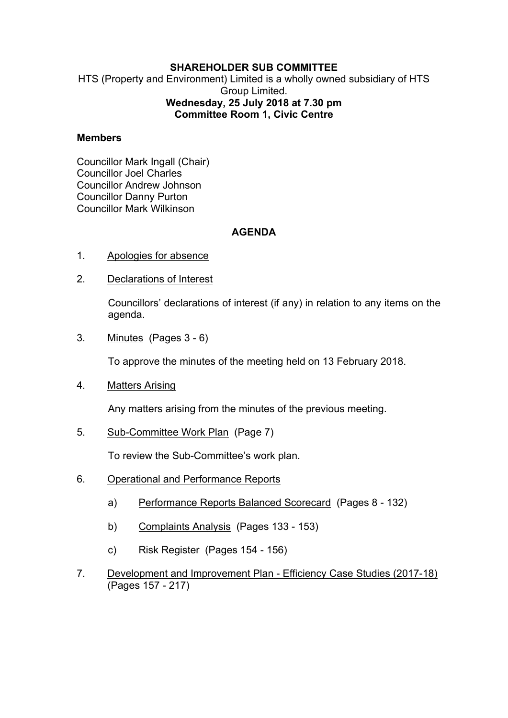## **SHAREHOLDER SUB COMMITTEE**

HTS (Property and Environment) Limited is a wholly owned subsidiary of HTS Group Limited. **Wednesday, 25 July 2018 at 7.30 pm Committee Room 1, Civic Centre**

## **Members**

Councillor Mark Ingall (Chair) Councillor Joel Charles Councillor Andrew Johnson Councillor Danny Purton Councillor Mark Wilkinson

## **AGENDA**

- 1. Apologies for absence
- 2. Declarations of Interest

Councillors' declarations of interest (if any) in relation to any items on the agenda.

3. Minutes(Pages 3 - 6)

To approve the minutes of the meeting held on 13 February 2018.

4. Matters Arising

Any matters arising from the minutes of the previous meeting.

5. Sub-Committee Work Plan(Page 7)

To review the Sub-Committee's work plan.

- 6. Operational and Performance Reports
	- a) Performance Reports Balanced Scorecard (Pages 8 132)
	- b) Complaints Analysis (Pages 133 153)
	- c) Risk Register (Pages 154 156)
- 7. Development and Improvement Plan Efficiency Case Studies (2017-18) (Pages 157 - 217)